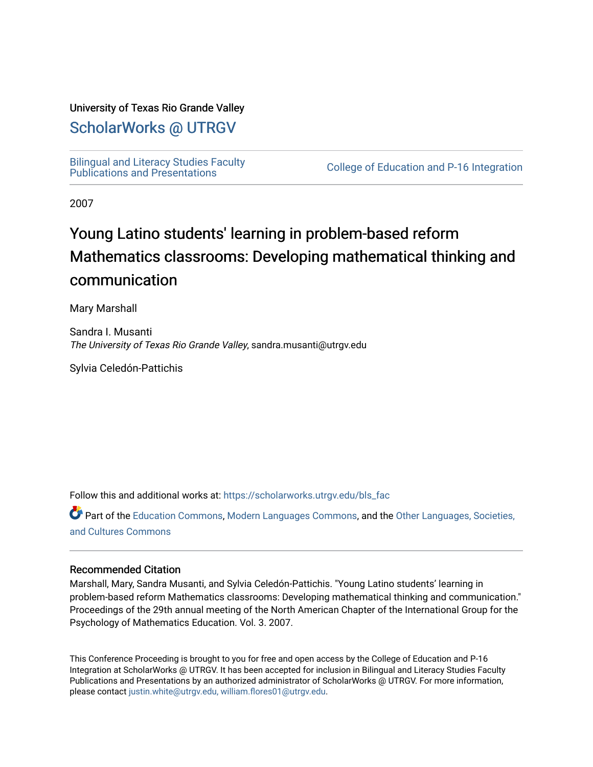### University of Texas Rio Grande Valley

# [ScholarWorks @ UTRGV](https://scholarworks.utrgv.edu/)

[Bilingual and Literacy Studies Faculty](https://scholarworks.utrgv.edu/bls_fac)<br>Publications and Presentations

College of Education and P-16 Integration

2007

# Young Latino students' learning in problem-based reform Mathematics classrooms: Developing mathematical thinking and communication

Mary Marshall

Sandra I. Musanti The University of Texas Rio Grande Valley, sandra.musanti@utrgv.edu

Sylvia Celedón-Pattichis

Follow this and additional works at: [https://scholarworks.utrgv.edu/bls\\_fac](https://scholarworks.utrgv.edu/bls_fac?utm_source=scholarworks.utrgv.edu%2Fbls_fac%2F51&utm_medium=PDF&utm_campaign=PDFCoverPages) 

Part of the [Education Commons](http://network.bepress.com/hgg/discipline/784?utm_source=scholarworks.utrgv.edu%2Fbls_fac%2F51&utm_medium=PDF&utm_campaign=PDFCoverPages), [Modern Languages Commons,](http://network.bepress.com/hgg/discipline/1130?utm_source=scholarworks.utrgv.edu%2Fbls_fac%2F51&utm_medium=PDF&utm_campaign=PDFCoverPages) and the [Other Languages, Societies,](http://network.bepress.com/hgg/discipline/475?utm_source=scholarworks.utrgv.edu%2Fbls_fac%2F51&utm_medium=PDF&utm_campaign=PDFCoverPages)  [and Cultures Commons](http://network.bepress.com/hgg/discipline/475?utm_source=scholarworks.utrgv.edu%2Fbls_fac%2F51&utm_medium=PDF&utm_campaign=PDFCoverPages) 

#### Recommended Citation

Marshall, Mary, Sandra Musanti, and Sylvia Celedón-Pattichis. "Young Latino students' learning in problem-based reform Mathematics classrooms: Developing mathematical thinking and communication." Proceedings of the 29th annual meeting of the North American Chapter of the International Group for the Psychology of Mathematics Education. Vol. 3. 2007.

This Conference Proceeding is brought to you for free and open access by the College of Education and P-16 Integration at ScholarWorks @ UTRGV. It has been accepted for inclusion in Bilingual and Literacy Studies Faculty Publications and Presentations by an authorized administrator of ScholarWorks @ UTRGV. For more information, please contact [justin.white@utrgv.edu, william.flores01@utrgv.edu](mailto:justin.white@utrgv.edu,%20william.flores01@utrgv.edu).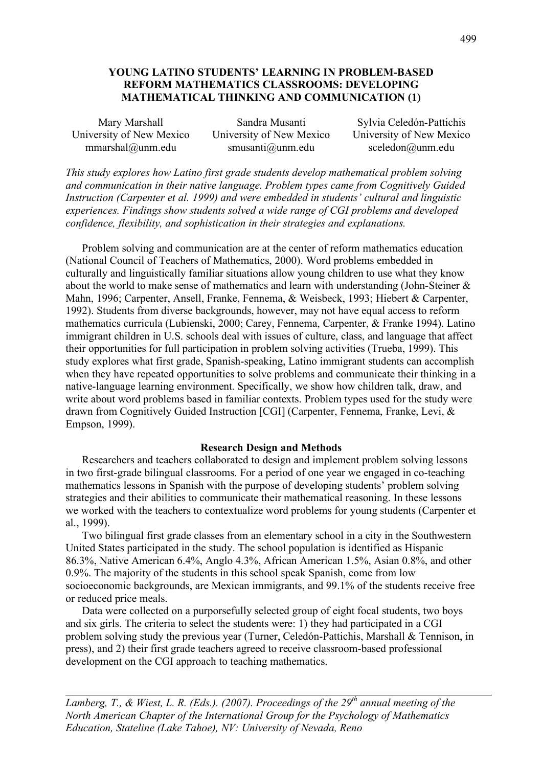## **YOUNG LATINO STUDENTS' LEARNING IN PROBLEM-BASED REFORM MATHEMATICS CLASSROOMS: DEVELOPING MATHEMATICAL THINKING AND COMMUNICATION (1)**

| Mary Marshall            | Sandra Musanti           | Sylvia Celedón-Pattichis                |
|--------------------------|--------------------------|-----------------------------------------|
| University of New Mexico | University of New Mexico | University of New Mexico                |
| $mmarshal@$ unm.edu      | smusanti@unm.edu         | $\text{acceledon}(\widehat{a})$ unm.edu |

*This study explores how Latino first grade students develop mathematical problem solving and communication in their native language. Problem types came from Cognitively Guided Instruction (Carpenter et al. 1999) and were embedded in students' cultural and linguistic experiences. Findings show students solved a wide range of CGI problems and developed confidence, flexibility, and sophistication in their strategies and explanations.*

Problem solving and communication are at the center of reform mathematics education (National Council of Teachers of Mathematics, 2000). Word problems embedded in culturally and linguistically familiar situations allow young children to use what they know about the world to make sense of mathematics and learn with understanding (John-Steiner & Mahn, 1996; Carpenter, Ansell, Franke, Fennema, & Weisbeck, 1993; Hiebert & Carpenter, 1992). Students from diverse backgrounds, however, may not have equal access to reform mathematics curricula (Lubienski, 2000; Carey, Fennema, Carpenter, & Franke 1994). Latino immigrant children in U.S. schools deal with issues of culture, class, and language that affect their opportunities for full participation in problem solving activities (Trueba, 1999). This study explores what first grade, Spanish-speaking, Latino immigrant students can accomplish when they have repeated opportunities to solve problems and communicate their thinking in a native-language learning environment. Specifically, we show how children talk, draw, and write about word problems based in familiar contexts. Problem types used for the study were drawn from Cognitively Guided Instruction [CGI] (Carpenter, Fennema, Franke, Levi, & Empson, 1999).

#### **Research Design and Methods**

Researchers and teachers collaborated to design and implement problem solving lessons in two first-grade bilingual classrooms. For a period of one year we engaged in co-teaching mathematics lessons in Spanish with the purpose of developing students' problem solving strategies and their abilities to communicate their mathematical reasoning. In these lessons we worked with the teachers to contextualize word problems for young students (Carpenter et al., 1999).

Two bilingual first grade classes from an elementary school in a city in the Southwestern United States participated in the study. The school population is identified as Hispanic 86.3%, Native American 6.4%, Anglo 4.3%, African American 1.5%, Asian 0.8%, and other 0.9%. The majority of the students in this school speak Spanish, come from low socioeconomic backgrounds, are Mexican immigrants, and 99.1% of the students receive free or reduced price meals.

Data were collected on a purporsefully selected group of eight focal students, two boys and six girls. The criteria to select the students were: 1) they had participated in a CGI problem solving study the previous year (Turner, Celedón-Pattichis, Marshall & Tennison, in press), and 2) their first grade teachers agreed to receive classroom-based professional development on the CGI approach to teaching mathematics.

*Lamberg, T., & Wiest, L. R. (Eds.). (2007). Proceedings of the 29th annual meeting of the North American Chapter of the International Group for the Psychology of Mathematics Education, Stateline (Lake Tahoe), NV: University of Nevada, Reno*

**Mexico**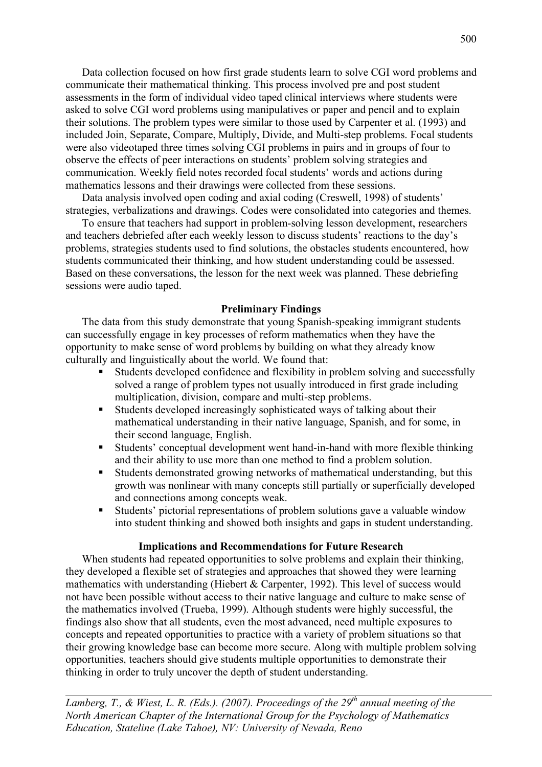Data collection focused on how first grade students learn to solve CGI word problems and communicate their mathematical thinking. This process involved pre and post student assessments in the form of individual video taped clinical interviews where students were asked to solve CGI word problems using manipulatives or paper and pencil and to explain their solutions. The problem types were similar to those used by Carpenter et al. (1993) and included Join, Separate, Compare, Multiply, Divide, and Multi-step problems. Focal students were also videotaped three times solving CGI problems in pairs and in groups of four to observe the effects of peer interactions on students' problem solving strategies and communication. Weekly field notes recorded focal students' words and actions during mathematics lessons and their drawings were collected from these sessions.

Data analysis involved open coding and axial coding (Creswell, 1998) of students' strategies, verbalizations and drawings. Codes were consolidated into categories and themes.

To ensure that teachers had support in problem-solving lesson development, researchers and teachers debriefed after each weekly lesson to discuss students' reactions to the day's problems, strategies students used to find solutions, the obstacles students encountered, how students communicated their thinking, and how student understanding could be assessed. Based on these conversations, the lesson for the next week was planned. These debriefing sessions were audio taped.

#### **Preliminary Findings**

The data from this study demonstrate that young Spanish-speaking immigrant students can successfully engage in key processes of reform mathematics when they have the opportunity to make sense of word problems by building on what they already know culturally and linguistically about the world. We found that:

- Students developed confidence and flexibility in problem solving and successfully solved a range of problem types not usually introduced in first grade including multiplication, division, compare and multi-step problems.
- Students developed increasingly sophisticated ways of talking about their mathematical understanding in their native language, Spanish, and for some, in their second language, English.
- Students' conceptual development went hand-in-hand with more flexible thinking and their ability to use more than one method to find a problem solution.
- Students demonstrated growing networks of mathematical understanding, but this growth was nonlinear with many concepts still partially or superficially developed and connections among concepts weak.
- Students' pictorial representations of problem solutions gave a valuable window into student thinking and showed both insights and gaps in student understanding.

#### **Implications and Recommendations for Future Research**

When students had repeated opportunities to solve problems and explain their thinking, they developed a flexible set of strategies and approaches that showed they were learning mathematics with understanding (Hiebert  $&$  Carpenter, 1992). This level of success would not have been possible without access to their native language and culture to make sense of the mathematics involved (Trueba, 1999). Although students were highly successful, the findings also show that all students, even the most advanced, need multiple exposures to concepts and repeated opportunities to practice with a variety of problem situations so that their growing knowledge base can become more secure. Along with multiple problem solving opportunities, teachers should give students multiple opportunities to demonstrate their thinking in order to truly uncover the depth of student understanding.

*Lamberg, T., & Wiest, L. R. (Eds.). (2007). Proceedings of the 29th annual meeting of the North American Chapter of the International Group for the Psychology of Mathematics Education, Stateline (Lake Tahoe), NV: University of Nevada, Reno*